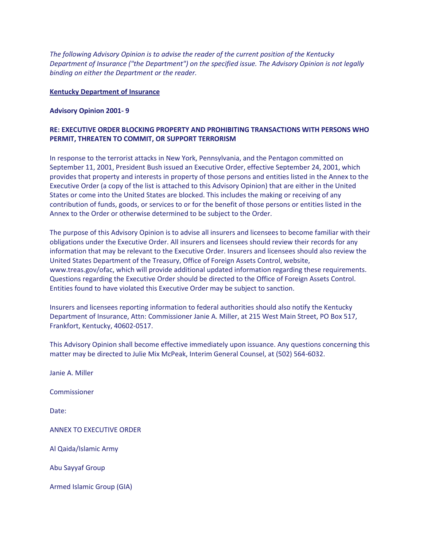*The following Advisory Opinion is to advise the reader of the current position of the Kentucky Department of Insurance ("the Department") on the specified issue. The Advisory Opinion is not legally binding on either the Department or the reader.*

## **Kentucky Department of Insurance**

## **Advisory Opinion 2001- 9**

## **RE: EXECUTIVE ORDER BLOCKING PROPERTY AND PROHIBITING TRANSACTIONS WITH PERSONS WHO PERMIT, THREATEN TO COMMIT, OR SUPPORT TERRORISM**

In response to the terrorist attacks in New York, Pennsylvania, and the Pentagon committed on September 11, 2001, President Bush issued an Executive Order, effective September 24, 2001, which provides that property and interests in property of those persons and entities listed in the Annex to the Executive Order (a copy of the list is attached to this Advisory Opinion) that are either in the United States or come into the United States are blocked. This includes the making or receiving of any contribution of funds, goods, or services to or for the benefit of those persons or entities listed in the Annex to the Order or otherwise determined to be subject to the Order.

The purpose of this Advisory Opinion is to advise all insurers and licensees to become familiar with their obligations under the Executive Order. All insurers and licensees should review their records for any information that may be relevant to the Executive Order. Insurers and licensees should also review the United States Department of the Treasury, Office of Foreign Assets Control, website, www.treas.gov/ofac, which will provide additional updated information regarding these requirements. Questions regarding the Executive Order should be directed to the Office of Foreign Assets Control. Entities found to have violated this Executive Order may be subject to sanction.

Insurers and licensees reporting information to federal authorities should also notify the Kentucky Department of Insurance, Attn: Commissioner Janie A. Miller, at 215 West Main Street, PO Box 517, Frankfort, Kentucky, 40602-0517.

This Advisory Opinion shall become effective immediately upon issuance. Any questions concerning this matter may be directed to Julie Mix McPeak, Interim General Counsel, at (502) 564-6032.

Janie A. Miller

Commissioner

Date:

## ANNEX TO EXECUTIVE ORDER

Al Qaida/Islamic Army

Abu Sayyaf Group

Armed Islamic Group (GIA)